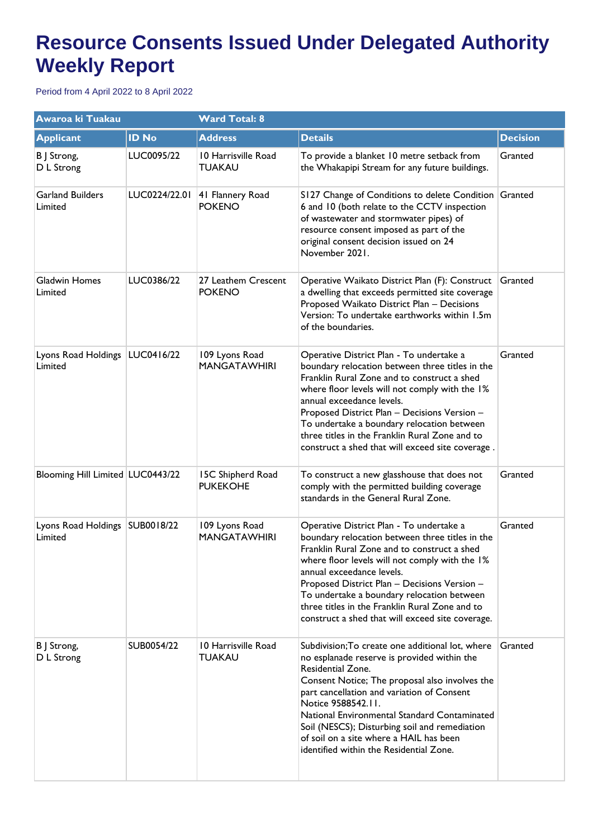## **Resource Consents Issued Under Delegated Authority Weekly Report**

Period from 4 April 2022 to 8 April 2022

| <b>Awaroa ki Tuakau</b>            |               | <b>Ward Total: 8</b>                  |                                                                                                                                                                                                                                                                                                                                                                                                                                   |                 |  |
|------------------------------------|---------------|---------------------------------------|-----------------------------------------------------------------------------------------------------------------------------------------------------------------------------------------------------------------------------------------------------------------------------------------------------------------------------------------------------------------------------------------------------------------------------------|-----------------|--|
| <b>Applicant</b>                   | <b>ID No</b>  | <b>Address</b>                        | <b>Details</b>                                                                                                                                                                                                                                                                                                                                                                                                                    | <b>Decision</b> |  |
| B J Strong,<br>D L Strong          | LUC0095/22    | 10 Harrisville Road<br>TUAKAU         | To provide a blanket 10 metre setback from<br>the Whakapipi Stream for any future buildings.                                                                                                                                                                                                                                                                                                                                      | Granted         |  |
| <b>Garland Builders</b><br>Limited | LUC0224/22.01 | 41 Flannery Road<br><b>POKENO</b>     | S127 Change of Conditions to delete Condition Granted<br>6 and 10 (both relate to the CCTV inspection<br>of wastewater and stormwater pipes) of<br>resource consent imposed as part of the<br>original consent decision issued on 24<br>November 2021.                                                                                                                                                                            |                 |  |
| Gladwin Homes<br>Limited           | LUC0386/22    | 27 Leathem Crescent<br><b>POKENO</b>  | Operative Waikato District Plan (F): Construct<br>a dwelling that exceeds permitted site coverage<br>Proposed Waikato District Plan - Decisions<br>Version: To undertake earthworks within 1.5m<br>of the boundaries.                                                                                                                                                                                                             | Granted         |  |
| Lyons Road Holdings<br>Limited     | LUC0416/22    | 109 Lyons Road<br><b>MANGATAWHIRI</b> | Operative District Plan - To undertake a<br>boundary relocation between three titles in the<br>Franklin Rural Zone and to construct a shed<br>where floor levels will not comply with the I%<br>annual exceedance levels.<br>Proposed District Plan - Decisions Version -<br>To undertake a boundary relocation between<br>three titles in the Franklin Rural Zone and to<br>construct a shed that will exceed site coverage.     | Granted         |  |
| Blooming Hill Limited   LUC0443/22 |               | 15C Shipherd Road<br><b>PUKEKOHE</b>  | To construct a new glasshouse that does not<br>comply with the permitted building coverage<br>standards in the General Rural Zone.                                                                                                                                                                                                                                                                                                | Granted         |  |
| Lyons Road Holdings<br>Limited     | SUB0018/22    | 109 Lyons Road<br><b>MANGATAWHIRI</b> | Operative District Plan - To undertake a<br>boundary relocation between three titles in the<br>Franklin Rural Zone and to construct a shed<br>where floor levels will not comply with the 1%<br>annual exceedance levels.<br>Proposed District Plan - Decisions Version -<br>To undertake a boundary relocation between<br>three titles in the Franklin Rural Zone and to<br>construct a shed that will exceed site coverage.     | Granted         |  |
| B J Strong,<br>D L Strong          | SUB0054/22    | 10 Harrisville Road<br><b>TUAKAU</b>  | Subdivision; To create one additional lot, where<br>no esplanade reserve is provided within the<br>Residential Zone.<br>Consent Notice; The proposal also involves the<br>part cancellation and variation of Consent<br>Notice 9588542.11.<br>National Environmental Standard Contaminated<br>Soil (NESCS); Disturbing soil and remediation<br>of soil on a site where a HAIL has been<br>identified within the Residential Zone. | Granted         |  |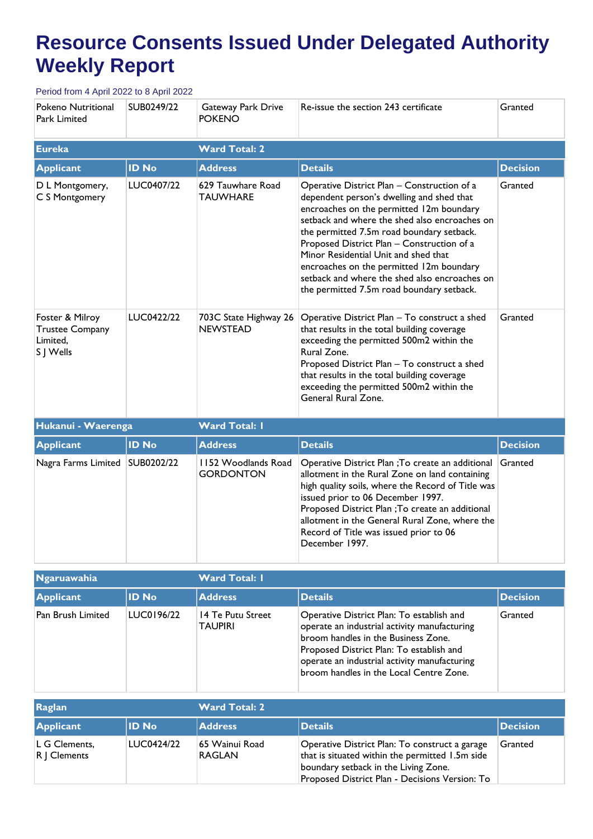## **Resource Consents Issued Under Delegated Authority Weekly Report**

Period from 4 April 2022 to 8 April 2022

| Pokeno Nutritional<br>Park Limited                                 | SUB0249/22   | Gateway Park Drive<br><b>POKENO</b>      | Re-issue the section 243 certificate                                                                                                                                                                                                                                                                                                                                                                                                                               | Granted         |
|--------------------------------------------------------------------|--------------|------------------------------------------|--------------------------------------------------------------------------------------------------------------------------------------------------------------------------------------------------------------------------------------------------------------------------------------------------------------------------------------------------------------------------------------------------------------------------------------------------------------------|-----------------|
| <b>Eureka</b>                                                      |              | <b>Ward Total: 2</b>                     |                                                                                                                                                                                                                                                                                                                                                                                                                                                                    |                 |
| <b>Applicant</b>                                                   | <b>ID No</b> | <b>Address</b>                           | <b>Details</b>                                                                                                                                                                                                                                                                                                                                                                                                                                                     | <b>Decision</b> |
| D L Montgomery,<br>C S Montgomery                                  | LUC0407/22   | 629 Tauwhare Road<br><b>TAUWHARE</b>     | Operative District Plan - Construction of a<br>dependent person's dwelling and shed that<br>encroaches on the permitted 12m boundary<br>setback and where the shed also encroaches on<br>the permitted 7.5m road boundary setback.<br>Proposed District Plan - Construction of a<br>Minor Residential Unit and shed that<br>encroaches on the permitted 12m boundary<br>setback and where the shed also encroaches on<br>the permitted 7.5m road boundary setback. | Granted         |
| Foster & Milroy<br><b>Trustee Company</b><br>Limited,<br>S J Wells | LUC0422/22   | 703C State Highway 26<br><b>NEWSTEAD</b> | Operative District Plan - To construct a shed<br>that results in the total building coverage<br>exceeding the permitted 500m2 within the<br>Rural Zone.<br>Proposed District Plan - To construct a shed<br>that results in the total building coverage<br>exceeding the permitted 500m2 within the<br>General Rural Zone.                                                                                                                                          | Granted         |
| Hukanui - Waerenga                                                 |              | <b>Ward Total: I</b>                     |                                                                                                                                                                                                                                                                                                                                                                                                                                                                    |                 |
| <b>Applicant</b>                                                   | <b>ID No</b> | <b>Address</b>                           | <b>Details</b>                                                                                                                                                                                                                                                                                                                                                                                                                                                     | <b>Decision</b> |
| Nagra Farms Limited   SUB0202/22                                   |              | 1152 Woodlands Road<br><b>GORDONTON</b>  | Operative District Plan ; To create an additional<br>allotment in the Rural Zone on land containing<br>high quality soils, where the Record of Title was<br>issued prior to 06 December 1997.<br>Proposed District Plan ; To create an additional<br>allotment in the General Rural Zone, where the<br>Record of Title was issued prior to 06<br>December 1997.                                                                                                    | Granted         |

| Ngaruawahia       |              | <b>Ward Total: I</b>         |                                                                                                                                                                                                                                                                         |                 |
|-------------------|--------------|------------------------------|-------------------------------------------------------------------------------------------------------------------------------------------------------------------------------------------------------------------------------------------------------------------------|-----------------|
| Applicant         | <b>ID No</b> | <b>Address</b>               | <b>Details</b>                                                                                                                                                                                                                                                          | <b>Decision</b> |
| Pan Brush Limited | LUC0196/22   | 14 Te Putu Street<br>TAUPIRI | Operative District Plan: To establish and<br>operate an industrial activity manufacturing<br>broom handles in the Business Zone.<br>Proposed District Plan: To establish and<br>operate an industrial activity manufacturing<br>broom handles in the Local Centre Zone. | Granted         |

| Raglan                          |              | <b>Ward Total: 2</b>            |                                                                                                                                                                                             |                 |
|---------------------------------|--------------|---------------------------------|---------------------------------------------------------------------------------------------------------------------------------------------------------------------------------------------|-----------------|
| <b>Applicant</b>                | <b>ID No</b> | <b>Address</b>                  | <b>Details</b>                                                                                                                                                                              | <b>Decision</b> |
| L G Clements,<br>$ R $ Clements | LUC0424/22   | 65 Wainui Road<br><b>RAGLAN</b> | Operative District Plan: To construct a garage<br>that is situated within the permitted 1.5m side<br>boundary setback in the Living Zone.<br>Proposed District Plan - Decisions Version: To | Granted         |